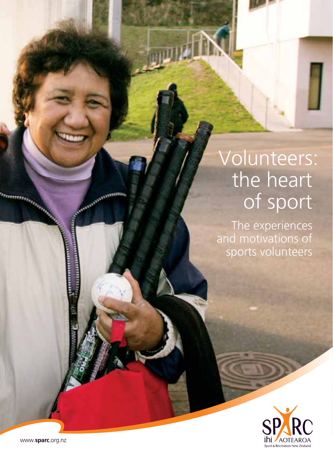# Volunteers: the heart of sport

The experiences and motivations of sports volunteers



www.**sparc**.org.nz

**Company**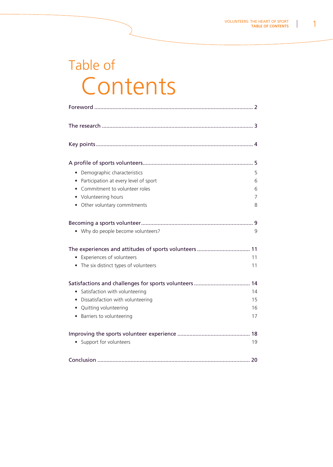## Table of Contents

| Demographic characteristics                        | 5  |
|----------------------------------------------------|----|
| Participation at every level of sport<br>$\bullet$ | 6  |
| Commitment to volunteer roles                      | 6  |
| Volunteering hours                                 | 7  |
| • Other voluntary commitments                      | 8  |
|                                                    | 9  |
| • Why do people become volunteers?                 | 9  |
|                                                    |    |
| • Experiences of volunteers                        | 11 |
| • The six distinct types of volunteers             | 11 |
|                                                    | 14 |
| • Satisfaction with volunteering                   | 14 |
| Dissatisfaction with volunteering                  | 15 |
| Quitting volunteering<br>$\bullet$                 | 16 |
| • Barriers to volunteering                         | 17 |
|                                                    |    |
| • Support for volunteers                           | 19 |
|                                                    |    |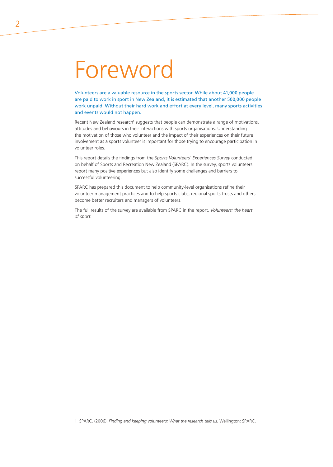# Foreword

Volunteers are a valuable resource in the sports sector. While about 41,000 people are paid to work in sport in New Zealand, it is estimated that another 500,000 people work unpaid. Without their hard work and effort at every level, many sports activities and events would not happen.

Recent New Zealand research<sup>1</sup> suggests that people can demonstrate a range of motivations, attitudes and behaviours in their interactions with sports organisations. Understanding the motivation of those who volunteer and the impact of their experiences on their future involvement as a sports volunteer is important for those trying to encourage participation in volunteer roles.

This report details the findings from the *Sports Volunteers' Experiences Survey* conducted on behalf of Sports and Recreation New Zealand (SPARC). In the survey, sports volunteers report many positive experiences but also identify some challenges and barriers to successful volunteering.

SPARC has prepared this document to help community-level organisations refine their volunteer management practices and to help sports clubs, regional sports trusts and others become better recruiters and managers of volunteers.

The full results of the survey are available from SPARC in the report, *Volunteers: the heart of sport.*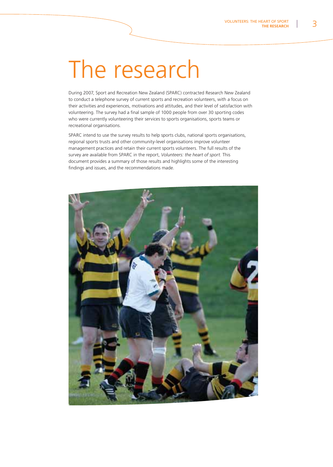# The research

During 2007, Sport and Recreation New Zealand (SPARC) contracted Research New Zealand to conduct a telephone survey of current sports and recreation volunteers, with a focus on their activities and experiences, motivations and attitudes, and their level of satisfaction with volunteering. The survey had a final sample of 1000 people from over 30 sporting codes who were currently volunteering their services to sports organisations, sports teams or recreational organisations.

SPARC intend to use the survey results to help sports clubs, national sports organisations, regional sports trusts and other community-level organisations improve volunteer management practices and retain their current sports volunteers. The full results of the survey are available from SPARC in the report, *Volunteers: the heart of sport.* This document provides a summary of those results and highlights some of the interesting findings and issues, and the recommendations made.

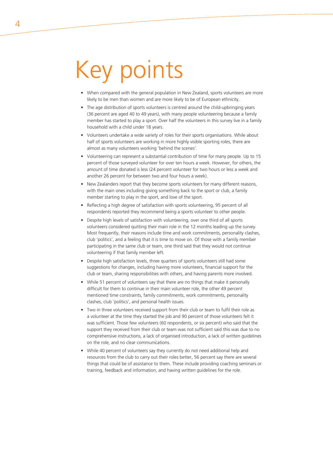# Key points

- When compared with the general population in New Zealand, sports volunteers are more likely to be men than women and are more likely to be of European ethnicity.
- The age distribution of sports volunteers is centred around the child-upbringing years (36 percent are aged 40 to 49 years), with many people volunteering because a family member has started to play a sport. Over half the volunteers in this survey live in a family household with a child under 18 years.
- Volunteers undertake a wide variety of roles for their sports organisations. While about half of sports volunteers are working in more highly visible sporting roles, there are almost as many volunteers working 'behind the scenes'.
- Volunteering can represent a substantial contribution of time for many people. Up to 15 percent of those surveyed volunteer for over ten hours a week. However, for others, the amount of time donated is less (24 percent volunteer for two hours or less a week and another 26 percent for between two and four hours a week).
- New Zealanders report that they become sports volunteers for many different reasons, with the main ones including giving something back to the sport or club, a family member starting to play in the sport, and love of the sport.
- Reflecting a high degree of satisfaction with sports volunteering, 95 percent of all respondents reported they recommend being a sports volunteer to other people.
- Despite high levels of satisfaction with volunteering, over one third of all sports volunteers considered quitting their main role in the 12 months leading up the survey. Most frequently, their reasons include time and work commitments, personality clashes, club 'politics', and a feeling that it is time to move on. Of those with a family member participating in the same club or team, one third said that they would not continue volunteering if that family member left.
- Despite high satisfaction levels, three quarters of sports volunteers still had some suggestions for changes, including having more volunteers, financial support for the club or team, sharing responsibilities with others, and having parents more involved.
- While 51 percent of volunteers say that there are no things that make it personally difficult for them to continue in their main volunteer role, the other 49 percent mentioned time constraints, family commitments, work commitments, personality clashes, club 'politics', and personal health issues.
- Two in three volunteers received support from their club or team to fulfil their role as a volunteer at the time they started the job and 90 percent of those volunteers felt it was sufficient. Those few volunteers (60 respondents, or six percent) who said that the support they received from their club or team was not sufficient said this was due to no comprehensive instructions, a lack of organised introduction, a lack of written guidelines on the role, and no clear communications.
- While 40 percent of volunteers say they currently do not need additional help and resources from the club to carry out their roles better, 56 percent say there are several things that could be of assistance to them. These include providing coaching seminars or training, feedback and information, and having written guidelines for the role.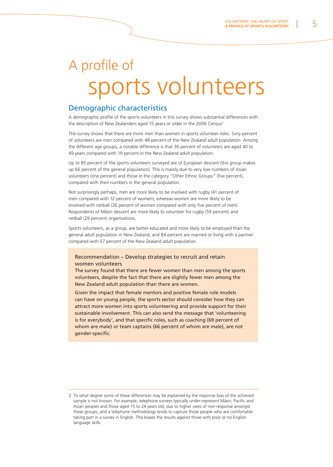## A profile of sports volunteers

### Demographic characteristics

A demographic profile of the sports volunteers in this survey shows substantial differences with the description of New Zealanders aged 15 years or older in the 2006 Census<sup>2</sup>.

The survey shows that there are more men than women in sports volunteer roles. Sixty percent of volunteers are men compared with 48 percent of the New Zealand adult population. Among the different age groups, a notable difference is that 36 percent of volunteers are aged 40 to 49 years compared with 19 percent in the New Zealand adult population.

Up to 85 percent of the sports volunteers surveyed are of European descent (this group makes up 66 percent of the general population). This is mainly due to very low numbers of Asian volunteers (one percent) and those in the category "Other Ethnic Groups" (five percent). compared with their numbers in the general population.

Not surprisingly perhaps, men are more likely to be involved with rugby (41 percent of men compared with 12 percent of women), whereas women are more likely to be involved with netball (26 percent of women compared with only five percent of men). Respondents of Màori descent are more likely to volunteer for rugby (59 percent) and netball (29 percent) organisations.

Sports volunteers, as a group, are better educated and more likely to be employed than the general adult population in New Zealand, and 84 percent are married or living with a partner compared with 57 percent of the New Zealand adult population.

### Recommendation – Develop strategies to recruit and retain women volunteers

The survey found that there are fewer women than men among the sports volunteers, despite the fact that there are slightly fewer men among the New Zealand adult population than there are women.

Given the impact that female mentors and positive female role models can have on young people, the sports sector should consider how they can attract more women into sports volunteering and provide support for their sustainable involvement. This can also send the message that 'volunteering is for everybody', and that specific roles, such as coaching (69 percent of whom are male) or team captains (66 percent of whom are male), are not gender-specific.

<sup>2</sup> To what degree some of these differences may be explained by the response bias of the achieved sample is not known. For example, telephone surveys typically under-represent Māori, Pacific and Asian peoples and those aged 15 to 24 years old, due to higher rates of non-response amongst these groups, and a telephone methodology tends to capture those people who are comfortable taking part in a survey in English. This biases the results against those with poor or no English language skills.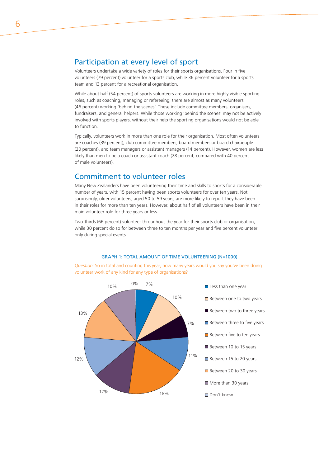### Participation at every level of sport

Volunteers undertake a wide variety of roles for their sports organisations. Four in five volunteers (79 percent) volunteer for a sports club, while 36 percent volunteer for a sports team and 13 percent for a recreational organisation.

While about half (54 percent) of sports volunteers are working in more highly visible sporting roles, such as coaching, managing or refereeing, there are almost as many volunteers (46 percent) working 'behind the scenes'. These include committee members, organisers, fundraisers, and general helpers. While those working 'behind the scenes' may not be actively involved with sports players, without their help the sporting organisations would not be able to function.

Typically, volunteers work in more than one role for their organisation. Most often volunteers are coaches (39 percent), club committee members, board members or board chairpeople (20 percent), and team managers or assistant managers (14 percent). However, women are less likely than men to be a coach or assistant coach (28 percent, compared with 40 percent of male volunteers).

### Commitment to volunteer roles

Many New Zealanders have been volunteering their time and skills to sports for a considerable number of years, with 15 percent having been sports volunteers for over ten years. Not surprisingly, older volunteers, aged 50 to 59 years, are more likely to report they have been in their roles for more than ten years. However, about half of all volunteers have been in their main volunteer role for three years or less.

Two-thirds (66 percent) volunteer throughout the year for their sports club or organisation, while 30 percent do so for between three to ten months per year and five percent volunteer only during special events.

### GRAPH 1: TOTAL AMOUNT OF TIME VOLUNTEERING (N=1000)

*Question:* So in total and counting this year, how many years would you say you've been doing volunteer work of any kind for any type of organisations?



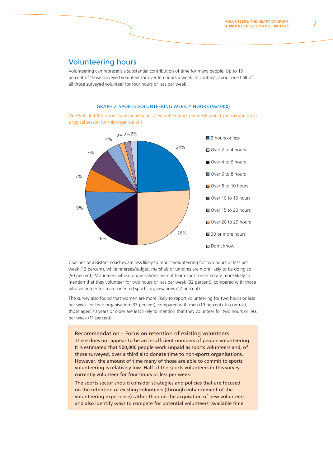### Volunteering hours

Volunteering can represent a substantial contribution of time for many people. Up to 15 percent of those surveyed volunteer for over ten hours a week. In contrast, about one half of all those surveyed volunteer for four hours or less per week.

#### GRAPH 2: SPORTS VOLUNTEERING WEEKLY HOURS (N=1000)

*Question:* In total, about how many hours of volunteer work per week would you say you do in a typical season for this organisation?



Coaches or assistant coaches are less likely to report volunteering for two hours or less per week (12 percent), while referees/judges, marshals or umpires are more likely to be doing so (50 percent). Volunteers whose organisations are not team-sport oriented are more likely to mention that they volunteer for two hours or less per week (32 percent), compared with those who volunteer for team-oriented sports organisations (17 percent).

The survey also found that women are more likely to report volunteering for two hours or less per week for their organisation (33 percent), compared with men (19 percent). In contrast, those aged 70 years or older are less likely to mention that they volunteer for two hours or less per week (11 percent).

Recommendation – Focus on retention of existing volunteers There does not appear to be an insufficient numbers of people volunteering. It is estimated that 500,000 people work unpaid as sports volunteers and, of those surveyed, over a third also donate time to non-sports organisations. However, the amount of time many of those are able to commit to sports volunteering is relatively low. Half of the sports volunteers in this survey currently volunteer for four hours or less per week.

The sports sector should consider strategies and policies that are focused on the retention of existing volunteers (through enhancement of the volunteering experience) rather than on the acquisition of new volunteers, and also identify ways to compete for potential volunteers' available time.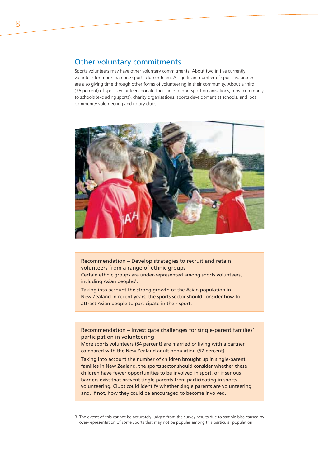### Other voluntary commitments

Sports volunteers may have other voluntary commitments. About two in five currently volunteer for more than one sports club or team. A significant number of sports volunteers are also giving time through other forms of volunteering in their community. About a third (36 percent) of sports volunteers donate their time to non-sport organisations, most commonly to schools (excluding sports), charity organisations, sports development at schools, and local community volunteering and rotary clubs.



Recommendation – Develop strategies to recruit and retain volunteers from a range of ethnic groups Certain ethnic groups are under-represented among sports volunteers, including Asian peoples<sup>3</sup>.

Taking into account the strong growth of the Asian population in New Zealand in recent years, the sports sector should consider how to attract Asian people to participate in their sport.

Recommendation – Investigate challenges for single-parent families' participation in volunteering

More sports volunteers (84 percent) are married or living with a partner compared with the New Zealand adult population (57 percent).

Taking into account the number of children brought up in single-parent families in New Zealand, the sports sector should consider whether these children have fewer opportunities to be involved in sport, or if serious barriers exist that prevent single parents from participating in sports volunteering. Clubs could identify whether single parents are volunteering and, if not, how they could be encouraged to become involved.

<sup>3</sup> The extent of this cannot be accurately judged from the survey results due to sample bias caused by over-representation of some sports that may not be popular among this particular population.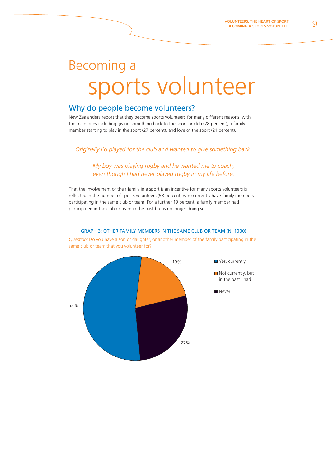## Becoming a sports volunteer

### Why do people become volunteers?

New Zealanders report that they become sports volunteers for many different reasons, with the main ones including giving something back to the sport or club (28 percent), a family member starting to play in the sport (27 percent), and love of the sport (21 percent).

*Originally I'd played for the club and wanted to give something back.*

### *My boy was playing rugby and he wanted me to coach, even though I had never played rugby in my life before.*

That the involvement of their family in a sport is an incentive for many sports volunteers is reflected in the number of sports volunteers (53 percent) who currently have family members participating in the same club or team. For a further 19 percent, a family member had participated in the club or team in the past but is no longer doing so.

### Yes, currently Not currently, but in the past I had Never 19%27%53%

#### GRAPH 3: OTHER FAMILY MEMBERS IN THE SAME CLUB OR TEAM (N=1000)

*Question:* Do you have a son or daughter, or another member of the family participating in the same club or team that you volunteer for?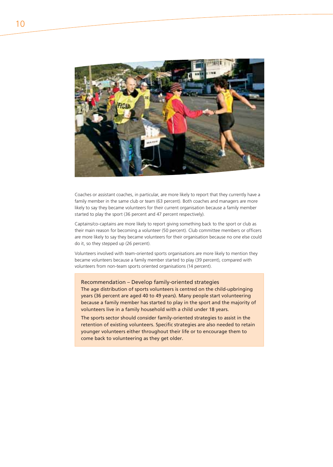

Coaches or assistant coaches, in particular, are more likely to report that they currently have a family member in the same club or team (63 percent). Both coaches and managers are more likely to say they became volunteers for their current organisation because a family member started to play the sport (36 percent and 47 percent respectively).

Captains/co-captains are more likely to report giving something back to the sport or club as their main reason for becoming a volunteer (50 percent). Club committee members or officers are more likely to say they became volunteers for their organisation because no one else could do it, so they stepped up (26 percent).

Volunteers involved with team-oriented sports organisations are more likely to mention they became volunteers because a family member started to play (39 percent), compared with volunteers from non-team sports oriented organisations (14 percent).

Recommendation – Develop family-oriented strategies The age distribution of sports volunteers is centred on the child-upbringing years (36 percent are aged 40 to 49 years). Many people start volunteering because a family member has started to play in the sport and the majority of volunteers live in a family household with a child under 18 years.

The sports sector should consider family-oriented strategies to assist in the retention of existing volunteers. Specific strategies are also needed to retain younger volunteers either throughout their life or to encourage them to come back to volunteering as they get older.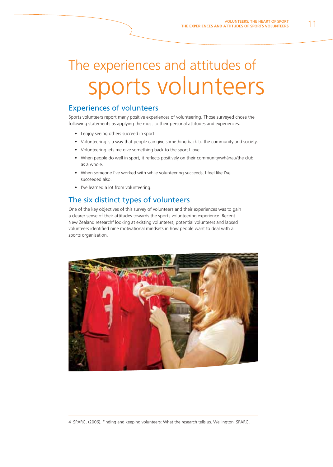# The experiences and attitudes of sports volunteers

### Experiences of volunteers

Sports volunteers report many positive experiences of volunteering. Those surveyed chose the following statements as applying the most to their personal attitudes and experiences:

- I enjoy seeing others succeed in sport.
- Volunteering is a way that people can give something back to the community and society.
- Volunteering lets me give something back to the sport I love.
- When people do well in sport, it reflects positively on their community/whānau/the club as a whole.
- When someone I've worked with while volunteering succeeds, I feel like I've succeeded also.
- I've learned a lot from volunteering.

### The six distinct types of volunteers

One of the key objectives of this survey of volunteers and their experiences was to gain a clearer sense of their attitudes towards the sports volunteering experience. Recent New Zealand research<sup>4</sup> looking at existing volunteers, potential volunteers and lapsed volunteers identified nine motivational mindsets in how people want to deal with a sports organisation.



4 SPARC. (2006). Finding and keeping volunteers: What the research tells us. Wellington: SPARC.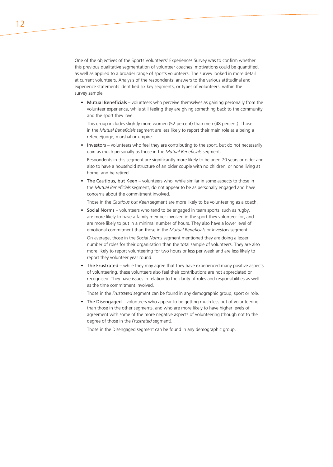One of the objectives of the Sports Volunteers' Experiences Survey was to confirm whether this previous qualitative segmentation of volunteer coaches' motivations could be quantified, as well as applied to a broader range of sports volunteers. The survey looked in more detail at current volunteers. Analysis of the respondents' answers to the various attitudinal and experience statements identified six key segments, or types of volunteers, within the survey sample:

• Mutual Beneficials – volunteers who perceive themselves as gaining personally from the volunteer experience, while still feeling they are giving something back to the community and the sport they love.

This group includes slightly more women (52 percent) than men (48 percent). Those in the *Mutual Beneficials* segment are less likely to report their main role as a being a referee/judge, marshal or umpire.

Investors – volunteers who feel they are contributing to the sport, but do not necessarily gain as much personally as those in the *Mutual Beneficials* segment.

Respondents in this segment are significantly more likely to be aged 70 years or older and also to have a household structure of an older couple with no children, or none living at home, and be retired.

The Cautious, but Keen - volunteers who, while similar in some aspects to those in the *Mutual Beneficials* segment, do not appear to be as personally engaged and have concerns about the commitment involved.

Those in the *Cautious but Keen* segment are more likely to be volunteering as a coach.

• Social Norms – volunteers who tend to be engaged in team sports, such as rugby, are more likely to have a family member involved in the sport they volunteer for, and are more likely to put in a minimal number of hours. They also have a lower level of emotional commitment than those in the *Mutual Beneficials* or *Investors* segment.

On average, those in the *Social Norms* segment mentioned they are doing a lesser number of roles for their organisation than the total sample of volunteers. They are also more likely to report volunteering for two hours or less per week and are less likely to report they volunteer year round.

The Frustrated - while they may agree that they have experienced many positive aspects of volunteering, these volunteers also feel their contributions are not appreciated or recognised. They have issues in relation to the clarity of roles and responsibilities as well as the time commitment involved.

Those in the *Frustrated* segment can be found in any demographic group, sport or role.

• The Disengaged - volunteers who appear to be getting much less out of volunteering than those in the other segments, and who are more likely to have higher levels of agreement with some of the more negative aspects of volunteering (though not to the degree of those in the *Frustrated* segment).

Those in the Disengaged segment can be found in any demographic group.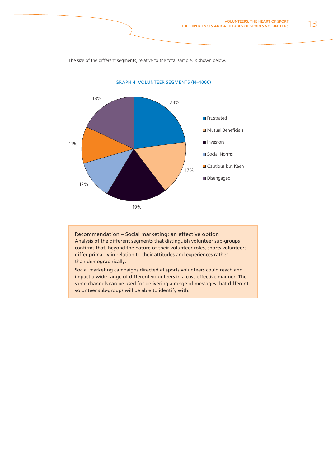The size of the different segments, relative to the total sample, is shown below.



GRAPH 4: VOLUNTEER SEGMENTS (N=1000)

Recommendation – Social marketing: an effective option Analysis of the different segments that distinguish volunteer sub-groups confirms that, beyond the nature of their volunteer roles, sports volunteers differ primarily in relation to their attitudes and experiences rather than demographically.

Social marketing campaigns directed at sports volunteers could reach and impact a wide range of different volunteers in a cost-effective manner. The same channels can be used for delivering a range of messages that different volunteer sub-groups will be able to identify with.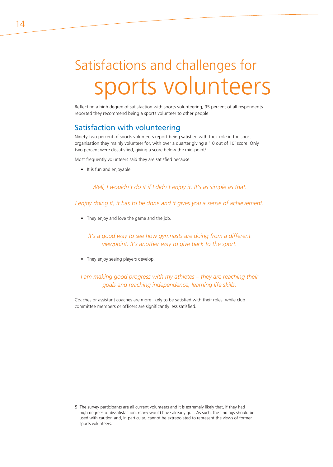## Satisfactions and challenges for sports volunteers

Reflecting a high degree of satisfaction with sports volunteering, 95 percent of all respondents reported they recommend being a sports volunteer to other people.

### Satisfaction with volunteering

Ninety-two percent of sports volunteers report being satisfied with their role in the sport organisation they mainly volunteer for, with over a quarter giving a '10 out of 10' score. Only two percent were dissatisfied, giving a score below the mid-point<sup>5</sup>.

Most frequently volunteers said they are satisfied because:

• It is fun and enjoyable.

*Well, I wouldn't do it if I didn't enjoy it. It's as simple as that.*

*I enjoy doing it, it has to be done and it gives you a sense of achievement.*

• They enjoy and love the game and the job.

*It's a good way to see how gymnasts are doing from a different viewpoint. It's another way to give back to the sport.*

• They enjoy seeing players develop.

*I am making good progress with my athletes – they are reaching their goals and reaching independence, learning life skills.*

Coaches or assistant coaches are more likely to be satisfied with their roles, while club committee members or officers are significantly less satisfied.

<sup>5</sup> The survey participants are all current volunteers and it is extremely likely that, if they had high degrees of dissatisfaction, many would have already quit. As such, the findings should be used with caution and, in particular, cannot be extrapolated to represent the views of former sports volunteers.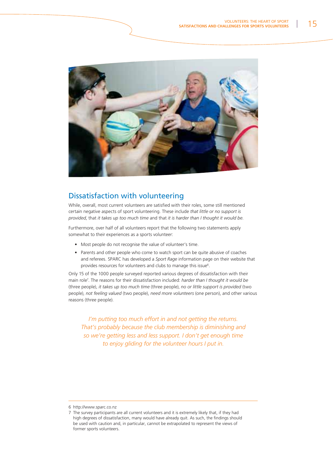

### Dissatisfaction with volunteering

While, overall, most current volunteers are satisfied with their roles, some still mentioned certain negative aspects of sport volunteering. These include *that little or no support is provided*, that *it takes up too much time* and that *it is harder than I thought it would be*.

Furthermore, over half of all volunteers report that the following two statements apply somewhat to their experiences as a sports volunteer:

- Most people do not recognise the value of volunteer's time.
- Parents and other people who come to watch sport can be quite abusive of coaches and referees. SPARC has developed a *Sport Rage* information page on their website that provides resources for volunteers and clubs to manage this issue<sup>6</sup>.

Only 15 of the 1000 people surveyed reported various degrees of dissatisfaction with their main role7. The reasons for their dissatisfaction included: *harder than I thought it would be* (three people), *it takes up too much time* (three people), *no or little support is provided* (two people), *not feeling valued* (two people), *need more volunteers* (one person), and other various reasons (three people).

*I'm putting too much effort in and not getting the returns. That's probably because the club membership is diminishing and so we're getting less and less support. I don't get enough time to enjoy gliding for the volunteer hours I put in.*

6 http://www.sparc.co.nz

<sup>7</sup> The survey participants are all current volunteers and it is extremely likely that, if they had high degrees of dissatisfaction, many would have already quit. As such, the findings should be used with caution and, in particular, cannot be extrapolated to represent the views of former sports volunteers.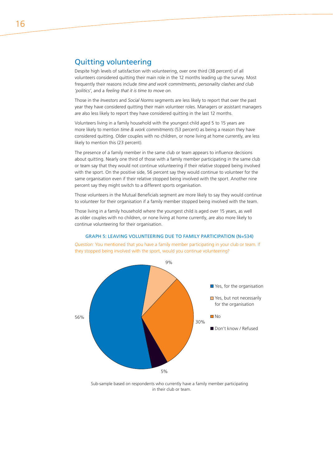### Quitting volunteering

Despite high levels of satisfaction with volunteering, over one third (38 percent) of all volunteers considered quitting their main role in the 12 months leading up the survey. Most frequently their reasons include *time and work commitments, personality clashes and club 'politics'*, and a *feeling that it is time to move on*.

Those in the *Investors* and *Social Norms* segments are less likely to report that over the past year they have considered quitting their main volunteer roles. Managers or assistant managers are also less likely to report they have considered quitting in the last 12 months.

Volunteers living in a family household with the youngest child aged 5 to 15 years are more likely to mention *time & work commitments* (53 percent) as being a reason they have considered quitting. Older couples with no children, or none living at home currently, are less likely to mention this (23 percent).

The presence of a family member in the same club or team appears to influence decisions about quitting. Nearly one third of those with a family member participating in the same club or team say that they would not continue volunteering if their relative stopped being involved with the sport. On the positive side, 56 percent say they would continue to volunteer for the same organisation even if their relative stopped being involved with the sport. Another nine percent say they might switch to a different sports organisation.

Those volunteers in the Mutual Beneficials segment are more likely to say they would continue to volunteer for their organisation if a family member stopped being involved with the team.

Those living in a family household where the youngest child is aged over 15 years, as well as older couples with no children, or none living at home currently, are also more likely to continue volunteering for their organisation.



GRAPH 5: LEAVING VOLUNTEERING DUE TO FAMILY PARTICIPATION (N=534)

*Question:* You mentioned that you have a family member participating in your club or team. If they stopped being involved with the sport, would you continue volunteering?

Sub-sample based on respondents who currently have a family member participating in their club or team.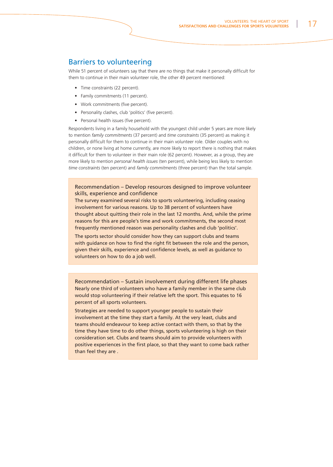### Barriers to volunteering

While 51 percent of volunteers say that there are no things that make it personally difficult for them to continue in their main volunteer role, the other 49 percent mentioned:

- Time constraints (22 percent).
- Family commitments (11 percent).
- Work commitments (five percent).
- Personality clashes, club 'politics' (five percent).
- Personal health issues (five percent).

Respondents living in a family household with the youngest child under 5 years are more likely to mention *family commitments* (37 percent) and *time constraints* (35 percent) as making it personally difficult for them to continue in their main volunteer role. Older couples with no children, or none living at home currently, are more likely to report there is nothing that makes it difficult for them to volunteer in their main role (62 percent). However, as a group, they are more likely to mention *personal health issues* (ten percent), while being less likely to mention *time constraints* (ten percent) and *family commitments* (three percent) than the total sample.

### Recommendation – Develop resources designed to improve volunteer skills, experience and confidence

The survey examined several risks to sports volunteering, including ceasing involvement for various reasons. Up to 38 percent of volunteers have thought about quitting their role in the last 12 months. And, while the prime reasons for this are people's time and work commitments, the second most frequently mentioned reason was personality clashes and club 'politics'.

The sports sector should consider how they can support clubs and teams with guidance on how to find the right fit between the role and the person, given their skills, experience and confidence levels, as well as guidance to volunteers on how to do a job well.

Recommendation – Sustain involvement during different life phases Nearly one third of volunteers who have a family member in the same club would stop volunteering if their relative left the sport. This equates to 16 percent of all sports volunteers.

Strategies are needed to support younger people to sustain their involvement at the time they start a family. At the very least, clubs and teams should endeavour to keep active contact with them, so that by the time they have time to do other things, sports volunteering is high on their consideration set. Clubs and teams should aim to provide volunteers with positive experiences in the first place, so that they want to come back rather than feel they are .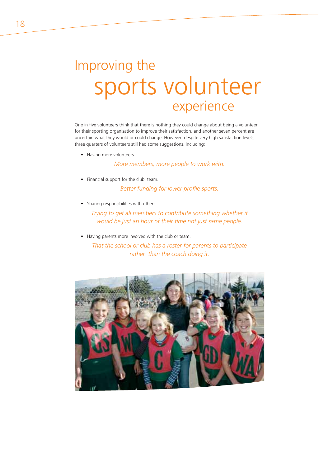### Improving the sports volunteer experience

One in five volunteers think that there is nothing they could change about being a volunteer for their sporting organisation to improve their satisfaction, and another seven percent are uncertain what they would or could change. However, despite very high satisfaction levels, three quarters of volunteers still had some suggestions, including:

• Having more volunteers.

*More members, more people to work with.*

• Financial support for the club, team.

**Better funding for lower profile sports.** 

• Sharing responsibilities with others.

**Trying to get all members to contribute something whether it** *would be just an hour of their time not just same people.*

• Having parents more involved with the club or team.

*That the school or club has a roster for parents to participate rather than the coach doing it.*

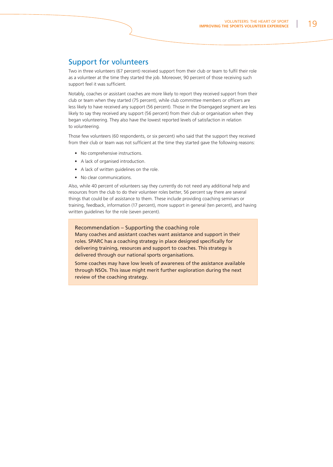### Support for volunteers

Two in three volunteers (67 percent) received support from their club or team to fulfil their role as a volunteer at the time they started the job. Moreover, 90 percent of those receiving such support feel it was sufficient.

Notably, coaches or assistant coaches are more likely to report they received support from their club or team when they started (75 percent), while club committee members or officers are less likely to have received any support (56 percent). Those in the Disengaged segment are less likely to say they received any support (56 percent) from their club or organisation when they began volunteering. They also have the lowest reported levels of satisfaction in relation to volunteering.

Those few volunteers (60 respondents, or six percent) who said that the support they received from their club or team was not sufficient at the time they started gave the following reasons:

- No comprehensive instructions.
- A lack of organised introduction.
- A lack of written guidelines on the role.
- No clear communications.

Also, while 40 percent of volunteers say they currently do not need any additional help and resources from the club to do their volunteer roles better, 56 percent say there are several things that could be of assistance to them. These include providing coaching seminars or training, feedback, information (17 percent), more support in general (ten percent), and having written guidelines for the role (seven percent).

### Recommendation – Supporting the coaching role

Many coaches and assistant coaches want assistance and support in their roles. SPARC has a coaching strategy in place designed specifically for delivering training, resources and support to coaches. This strategy is delivered through our national sports organisations.

Some coaches may have low levels of awareness of the assistance available through NSOs. This issue might merit further exploration during the next review of the coaching strategy.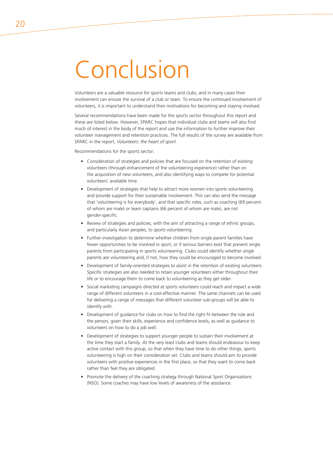# Conclusion

Volunteers are a valuable resource for sports teams and clubs, and in many cases their involvement can ensure the survival of a club or team. To ensure the continued involvement of volunteers, it is important to understand their motivations for becoming and staying involved.

Several recommendations have been made for the sports sector throughout this report and these are listed below. However, SPARC hopes that individual clubs and teams will also find much of interest in the body of the report and use the information to further improve their volunteer management and retention practices. The full results of the survey are available from SPARC in the report, *Volunteers: the heart of sport.*

Recommendations for the sports sector:

- Consideration of strategies and policies that are focused on the retention of existing volunteers (through enhancement of the volunteering experience) rather than on the acquisition of new volunteers, and also identifying ways to compete for potential volunteers' available time.
- Development of strategies that help to attract more women into sports volunteering and provide support for their sustainable involvement. This can also send the message that 'volunteering is for everybody', and that specific roles, such as coaching (69 percent of whom are male) or team captains (66 percent of whom are male), are not gender-specific.
- Review of strategies and policies, with the aim of attracting a range of ethnic groups, and particularly Asian peoples, to sports volunteering.
- Further investigation to determine whether children from single parent families have fewer opportunities to be involved in sport, or if serious barriers exist that prevent single parents from participating in sports volunteering. Clubs could identify whether single parents are volunteering and, if not, how they could be encouraged to become involved.
- Development of family-oriented strategies to assist in the retention of existing volunteers. Specific strategies are also needed to retain younger volunteers either throughout their life or to encourage them to come back to volunteering as they get older.
- Social marketing campaigns directed at sports volunteers could reach and impact a wide range of different volunteers in a cost-effective manner. The same channels can be used for delivering a range of messages that different volunteer sub-groups will be able to identify with.
- Development of guidance for clubs on how to find the right fit between the role and the person, given their skills, experience and confidence levels, as well as guidance to volunteers on how to do a job well.
- Development of strategies to support younger people to sustain their involvement at the time they start a family. At the very least clubs and teams should endeavour to keep active contact with this group, so that when they have time to do other things, sports volunteering is high on their consideration set. Clubs and teams should aim to provide volunteers with positive experiences in the first place, so that they want to come back rather than feel they are obligated.
- Promote the delivery of the coaching strategy through National Sport Organisations (NSO). Some coaches may have low levels of awareness of the assistance.